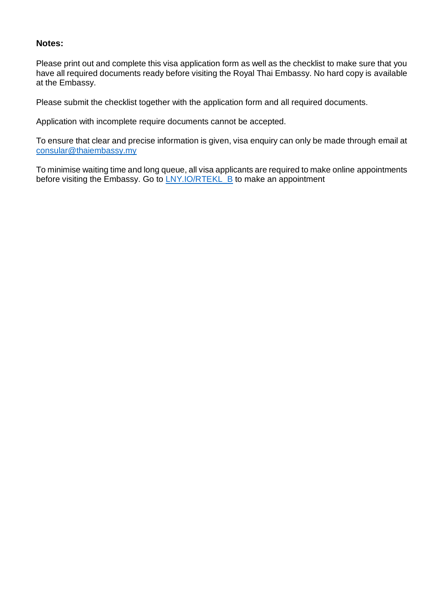### **Notes:**

Please print out and complete this visa application form as well as the checklist to make sure that you have all required documents ready before visiting the Royal Thai Embassy. No hard copy is available at the Embassy.

Please submit the checklist together with the application form and all required documents.

Application with incomplete require documents cannot be accepted.

To ensure that clear and precise information is given, visa enquiry can only be made through email at [consular@thaiembassy.my](mailto:consular@thaiembassy.my)

To minimise waiting time and long queue, all visa applicants are required to make online appointments before visiting the Embassy. Go to **[LNY.IO/RTEKL\\_B](http://lny.io/RTEKL_B)** to make an appointment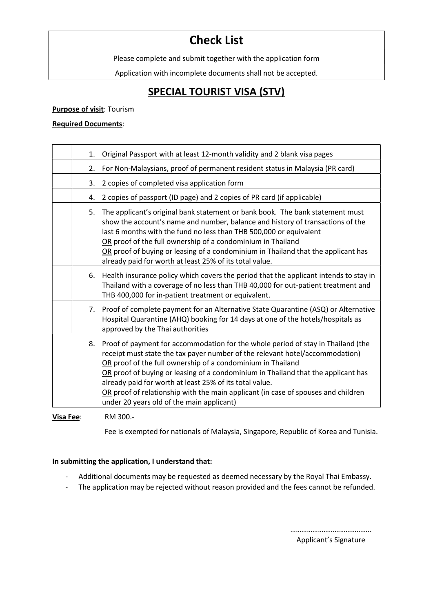# Check List

Please complete and submit together with the application form

Application with incomplete documents shall not be accepted.

## SPECIAL TOURIST VISA (STV)

#### Purpose of visit: Tourism

#### Required Documents:

| 1. | Original Passport with at least 12-month validity and 2 blank visa pages                                                                                                                                                                                                                                                                                                                                                                                                                                          |
|----|-------------------------------------------------------------------------------------------------------------------------------------------------------------------------------------------------------------------------------------------------------------------------------------------------------------------------------------------------------------------------------------------------------------------------------------------------------------------------------------------------------------------|
| 2. | For Non-Malaysians, proof of permanent resident status in Malaysia (PR card)                                                                                                                                                                                                                                                                                                                                                                                                                                      |
| 3. | 2 copies of completed visa application form                                                                                                                                                                                                                                                                                                                                                                                                                                                                       |
| 4. | 2 copies of passport (ID page) and 2 copies of PR card (if applicable)                                                                                                                                                                                                                                                                                                                                                                                                                                            |
| 5. | The applicant's original bank statement or bank book. The bank statement must<br>show the account's name and number, balance and history of transactions of the<br>last 6 months with the fund no less than THB 500,000 or equivalent<br>OR proof of the full ownership of a condominium in Thailand<br>OR proof of buying or leasing of a condominium in Thailand that the applicant has<br>already paid for worth at least 25% of its total value.                                                              |
|    | 6. Health insurance policy which covers the period that the applicant intends to stay in<br>Thailand with a coverage of no less than THB 40,000 for out-patient treatment and<br>THB 400,000 for in-patient treatment or equivalent.                                                                                                                                                                                                                                                                              |
| 7. | Proof of complete payment for an Alternative State Quarantine (ASQ) or Alternative<br>Hospital Quarantine (AHQ) booking for 14 days at one of the hotels/hospitals as<br>approved by the Thai authorities                                                                                                                                                                                                                                                                                                         |
| 8. | Proof of payment for accommodation for the whole period of stay in Thailand (the<br>receipt must state the tax payer number of the relevant hotel/accommodation)<br>OR proof of the full ownership of a condominium in Thailand<br>OR proof of buying or leasing of a condominium in Thailand that the applicant has<br>already paid for worth at least 25% of its total value.<br>OR proof of relationship with the main applicant (in case of spouses and children<br>under 20 years old of the main applicant) |
|    | B.1.200                                                                                                                                                                                                                                                                                                                                                                                                                                                                                                           |

Visa Fee: RM 300.-

Fee is exempted for nationals of Malaysia, Singapore, Republic of Korea and Tunisia.

#### In submitting the application, I understand that:

- Additional documents may be requested as deemed necessary by the Royal Thai Embassy.
- The application may be rejected without reason provided and the fees cannot be refunded.

……………………………………..

Applicant's Signature